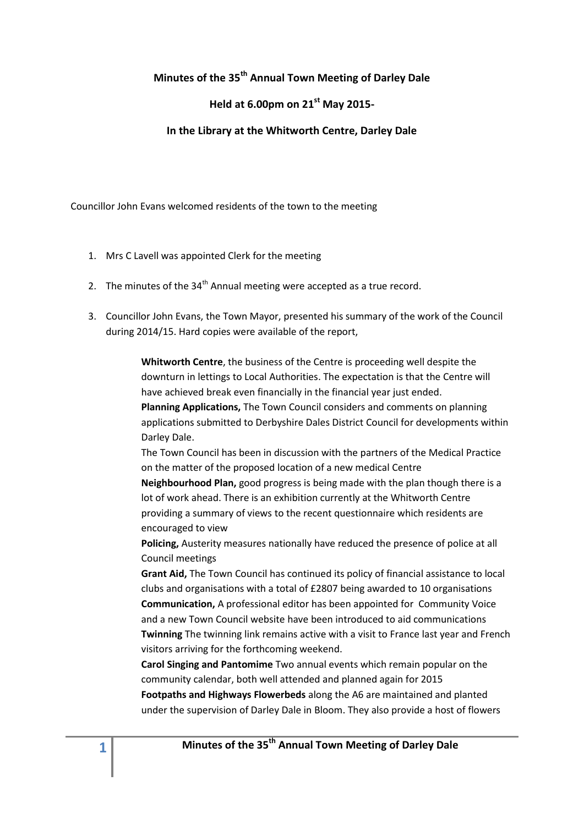# **Minutes of the 35th Annual Town Meeting of Darley Dale**

## **Held at 6.00pm on 21st May 2015-**

#### **In the Library at the Whitworth Centre, Darley Dale**

Councillor John Evans welcomed residents of the town to the meeting

- 1. Mrs C Lavell was appointed Clerk for the meeting
- 2. The minutes of the  $34<sup>th</sup>$  Annual meeting were accepted as a true record.
- 3. Councillor John Evans, the Town Mayor, presented his summary of the work of the Council during 2014/15. Hard copies were available of the report,

**Whitworth Centre**, the business of the Centre is proceeding well despite the downturn in lettings to Local Authorities. The expectation is that the Centre will have achieved break even financially in the financial year just ended. **Planning Applications,** The Town Council considers and comments on planning

applications submitted to Derbyshire Dales District Council for developments within Darley Dale.

The Town Council has been in discussion with the partners of the Medical Practice on the matter of the proposed location of a new medical Centre

**Neighbourhood Plan,** good progress is being made with the plan though there is a lot of work ahead. There is an exhibition currently at the Whitworth Centre providing a summary of views to the recent questionnaire which residents are encouraged to view

**Policing,** Austerity measures nationally have reduced the presence of police at all Council meetings

**Grant Aid,** The Town Council has continued its policy of financial assistance to local clubs and organisations with a total of £2807 being awarded to 10 organisations **Communication,** A professional editor has been appointed for Community Voice and a new Town Council website have been introduced to aid communications **Twinning** The twinning link remains active with a visit to France last year and French visitors arriving for the forthcoming weekend.

**Carol Singing and Pantomime** Two annual events which remain popular on the community calendar, both well attended and planned again for 2015 **Footpaths and Highways Flowerbeds** along the A6 are maintained and planted under the supervision of Darley Dale in Bloom. They also provide a host of flowers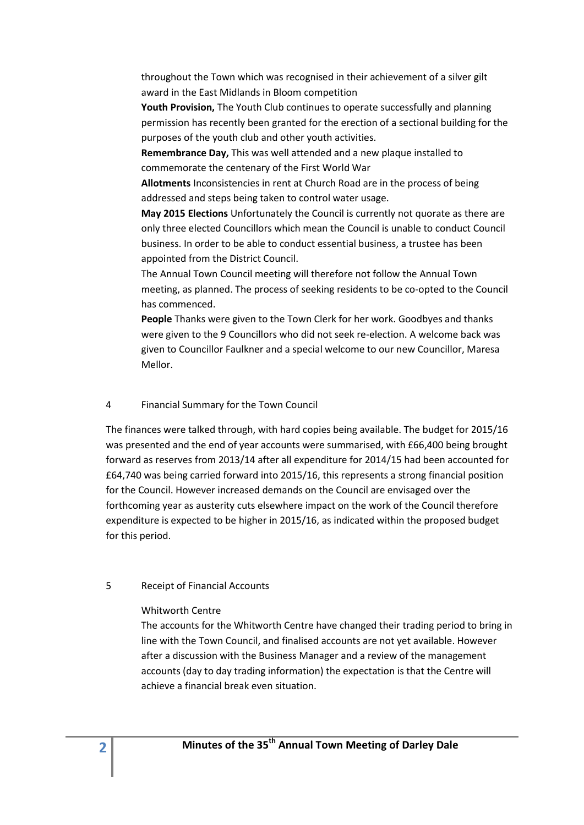throughout the Town which was recognised in their achievement of a silver gilt award in the East Midlands in Bloom competition

**Youth Provision,** The Youth Club continues to operate successfully and planning permission has recently been granted for the erection of a sectional building for the purposes of the youth club and other youth activities.

**Remembrance Day,** This was well attended and a new plaque installed to commemorate the centenary of the First World War

**Allotments** Inconsistencies in rent at Church Road are in the process of being addressed and steps being taken to control water usage.

**May 2015 Elections** Unfortunately the Council is currently not quorate as there are only three elected Councillors which mean the Council is unable to conduct Council business. In order to be able to conduct essential business, a trustee has been appointed from the District Council.

The Annual Town Council meeting will therefore not follow the Annual Town meeting, as planned. The process of seeking residents to be co-opted to the Council has commenced.

**People** Thanks were given to the Town Clerk for her work. Goodbyes and thanks were given to the 9 Councillors who did not seek re-election. A welcome back was given to Councillor Faulkner and a special welcome to our new Councillor, Maresa Mellor.

### 4 Financial Summary for the Town Council

The finances were talked through, with hard copies being available. The budget for 2015/16 was presented and the end of year accounts were summarised, with £66,400 being brought forward as reserves from 2013/14 after all expenditure for 2014/15 had been accounted for £64,740 was being carried forward into 2015/16, this represents a strong financial position for the Council. However increased demands on the Council are envisaged over the forthcoming year as austerity cuts elsewhere impact on the work of the Council therefore expenditure is expected to be higher in 2015/16, as indicated within the proposed budget for this period.

### 5 Receipt of Financial Accounts

### Whitworth Centre

The accounts for the Whitworth Centre have changed their trading period to bring in line with the Town Council, and finalised accounts are not yet available. However after a discussion with the Business Manager and a review of the management accounts (day to day trading information) the expectation is that the Centre will achieve a financial break even situation.